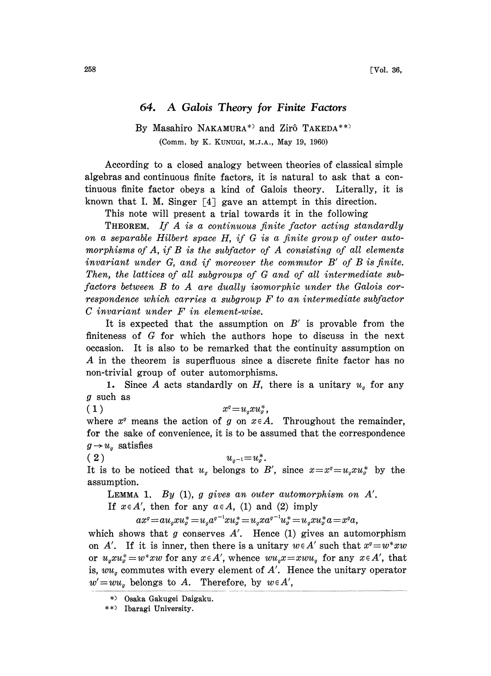## 64. A Galois Theory for Finite Factors

## By Masahiro NAKAMURA\*) and Zirô TAKEDA\*\*) (Comm. by K. KUNUGI, M.J.A., May 19, 1960)

According to a closed analogy between theories of classical simple algebras and continuous finite factors, it is natural to ask that a continuous finite factor obeys a kind of Galois theory. Literally, it is known that I. M. Singer  $[4]$  gave an attempt in this direction.

This note will present a trial towards it in the following

THEOREM. If A is <sup>a</sup> continuous finite factor acting standardly on a separable Hilbert space H, if G is a finite group of outer automorphisms of  $A$ , if  $B$  is the subfactor of  $A$  consisting of all elements invariant under G, and if moreover the commutor B' of B is finite. Then, the lattices of all subgroups of G and of all intermediate subfactors between B to A are dually isomorphic under the Galois correspondence which carries <sup>a</sup> subgroup F to an intermediate subfactor C invariant under F in element-wise.

It is expected that the assumption on  $B'$  is provable from the finiteness of G for which the authors hope to discuss in the next occasion. It is also to be remarked that the continuity assumption on A in the theorem is superfluous since <sup>a</sup> discrete finite factor has no non-trivial group of outer automorphisms.

1. Since A acts standardly on H, there is a unitary  $u_q$  for any g such as

( 1 )  $x^q = u_q x u_q^*,$ 

where  $x^q$  means the action of g on  $x \in A$ . Throughout the remainder, for the sake of convenience, it is to be assumed that the correspondence  $g\!\rightarrow\!u_g$  satisfies<br>( 2 )

 $u_{g^{-1}} = u_g^*$ . It is to be noticed that  $u_g$  belongs to B', since  $x = x^g = u_g x u_g^*$  by the assumption.

LEMMA 1. By  $(1)$ , g gives an outer automorphism on  $A'$ .

If  $x \in A'$ , then for any  $a \in A$ , (1) and (2) imply

 $ax^q = \alpha u_q x u^*_\sigma = u_q a^{q-1} x u^*_\sigma = u_q x a^{q-1} u^*_\sigma = u_q x u^*_\sigma a = x^q a$ <br>ws that g conserves A'. Hence (1) gives an au

which shows that g conserves  $A'$ . Hence (1) gives an automorphism on A'. If it is inner, then there is a unitary  $w \in A'$  such that  $x^q = w^* xw$ or  $u_{\alpha}xu_{\alpha}^* = w^*xw$  for any  $x \in A'$ , whence  $wu_{\alpha}x = xwu_{\alpha}$  for any  $x \in A'$ , that is,  $wu_g$  commutes with every element of A'. Hence the unitary operator  $w' = wu_{g}$  belongs to A. Therefore, by  $w \in A'$ ,

Osaka Gakugei Daigaku.

<sup>\*)</sup> Ibaragi University.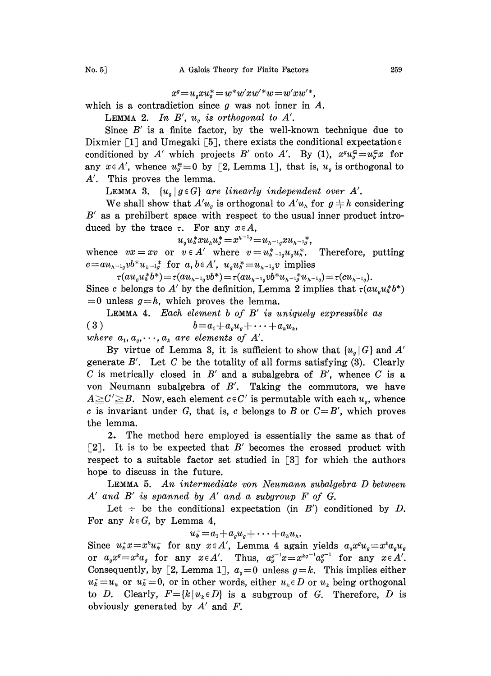$$
x^q = u_q x u_q^* = w^* w' x w'^* w = w' x w'^*,
$$

which is a contradiction since  $g$  was not inner in  $A$ .

LEMMA 2. In  $B'$ ,  $u_g$  is orthogonal to  $A'$ .

Since  $B'$  is a finite factor, by the well-known technique due to Dixmier [1] and Umegaki [5], there exists the conditional expectation  $\epsilon$ conditioned by A' which projects B' onto A'. By (1),  $x^qu_s^{\epsilon}=u_g^{\epsilon}x$  for any  $x \in A'$ , whence  $u_{\sigma}^{\epsilon} = 0$  by [2, Lemma 1], that is,  $u_{\sigma}$  is orthogonal to A'. This proves the lemma.

LEMMA 3.  ${u_q \mid g \in G}$  are linearly independent over A'.

We shall show that  $A'u_g$  is orthogonal to  $A'u_h$  for  $g \neq h$  considering  $B'$  as a prehilbert space with respect to the usual inner product introduced by the trace  $\tau$ . For any  $x \in A$ ,

 $u_g u_h^* x u_h u_g^* = x^{h^{-1}g} = u_{h^{-1}g} x u_{h^{-1}g}^*.$ 

whence  $vx = xv$  or  $v \in A'$  where  $v=u_{h-1g}^*u_{g}u_{h}^*$ . Therefore, putting  $c = a u_{n-1g} v b^* u_{n-1g}^*$  for  $a, b \in A', u_g u_n^* = u_{n-1g} v$  implies<br>  $\tau(a u_g u_n^* b^*) = \tau(a u_{n-1g} v b^*) = \tau(a u_{n-1g} v b^* u_{n-1g}^* u_{n-1g}) = \tau(c u_{n-1g}).$ 

Since c belongs to A' by the definition, Lemma 2 implies that  $\tau(au_au_0^*b^*)$  $=0$  unless  $g=h$ , which proves the lemma.

LEMMA 4. Each element  $b$  of  $B'$  is uniquely expressible as (3)  $b = a_1 + a_a u_a + \cdots + a_k u_k,$ 

where  $a_1, a_{\scriptscriptstyle\alpha}, \dots, a_{\scriptscriptstyle\ell}$  are elements of A'.

By virtue of Lemma 3, it is sufficient to show that  $\{u_q \mid G\}$  and A' generate  $B'$ . Let C be the totality of all forms satisfying  $(3)$ . Clearly C is metrically closed in  $B'$  and a subalgebra of  $B'$ , whence C is a von Neumann subalgebra of  $B'$ . Taking the commutors, we have  $A \geq C' \geq B$ . Now, each element  $c \in C'$  is permutable with each  $u<sub>o</sub>$ , whence c is invariant under G, that is, c belongs to B or  $C = B'$ , which proves the lemma.

2. The method here employed is essentially the same as that of [2]. It is to be expected that  $B'$  becomes the crossed product with respect to a suitable factor set studied in  $\lceil 3 \rceil$  for which the authors hope to discuss in the future.

LEMMA 5. An intermediate yon Neumann subalgebra D between  $A'$  and  $B'$  is spanned by  $A'$  and a subgroup  $F$  of  $G$ .

Let  $\div$  be the conditional expectation (in B') conditioned by D. For any  $k \in G$ , by Lemma 4,

 $u_k = a_1 + a_g u_q + \cdots + a_n u_n$ .

Since  $u_k^*x = x^k u_k^*$  for any  $x \in A'$ , Lemma 4 again yields  $a_g x^g u_g = x^k a_g u_g$ or  $a_gx^g=x^ka_g$  for any  $x\in A'$ . Thus,  $a_g^{g^{-1}}x=x^{kg^{-1}}a_g^{g^{-1}}$  for any  $x\in A'$ . Consequently, by [2, Lemma 1],  $a<sub>g</sub>=0$  unless  $g=k$ . This implies either  $u_k^* = u_k$  or  $u_k^* = 0$ , or in other words, either  $u_k \in D$  or  $u_k$  being orthogonal to D. Clearly,  $F = \{k | u_k \in D\}$  is a subgroup of G. Therefore, D is obviously generated by  $A'$  and  $F$ .